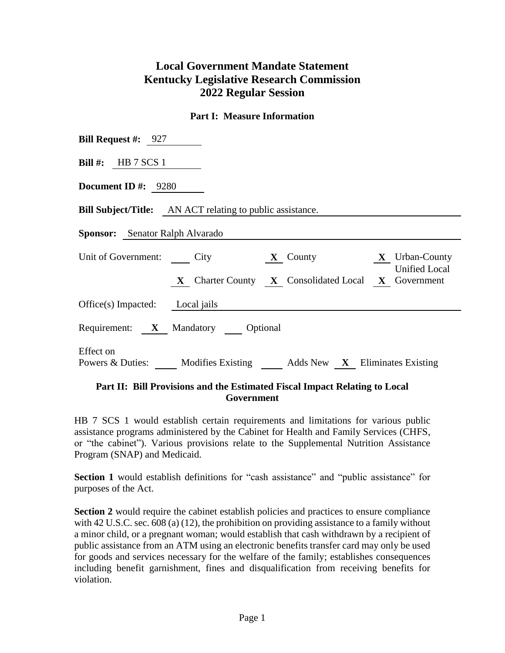## **Local Government Mandate Statement Kentucky Legislative Research Commission 2022 Regular Session**

## **Part I: Measure Information**

| <b>Bill Request #:</b> 927                                                                           |
|------------------------------------------------------------------------------------------------------|
| Bill #: HB $7$ SCS 1                                                                                 |
| <b>Document ID</b> #: $9280$                                                                         |
| <b>Bill Subject/Title:</b> AN ACT relating to public assistance.                                     |
| <b>Sponsor:</b> Senator Ralph Alvarado                                                               |
| Unit of Government: City<br>$\mathbf{X}$ Urban-County<br>$\mathbf{X}$ County<br><b>Unified Local</b> |
| X Charter County X Consolidated Local X Government<br>$Office(s)$ Impacted: Local jails              |
| Requirement: X Mandatory Optional                                                                    |
| Effect on<br>Powers & Duties: Modifies Existing Adds New X Eliminates Existing                       |

## **Part II: Bill Provisions and the Estimated Fiscal Impact Relating to Local Government**

HB 7 SCS 1 would establish certain requirements and limitations for various public assistance programs administered by the Cabinet for Health and Family Services (CHFS, or "the cabinet"). Various provisions relate to the Supplemental Nutrition Assistance Program (SNAP) and Medicaid.

**Section 1** would establish definitions for "cash assistance" and "public assistance" for purposes of the Act.

**Section 2** would require the cabinet establish policies and practices to ensure compliance with 42 U.S.C. sec. 608 (a) (12), the prohibition on providing assistance to a family without a minor child, or a pregnant woman; would establish that cash withdrawn by a recipient of public assistance from an ATM using an electronic benefits transfer card may only be used for goods and services necessary for the welfare of the family; establishes consequences including benefit garnishment, fines and disqualification from receiving benefits for violation.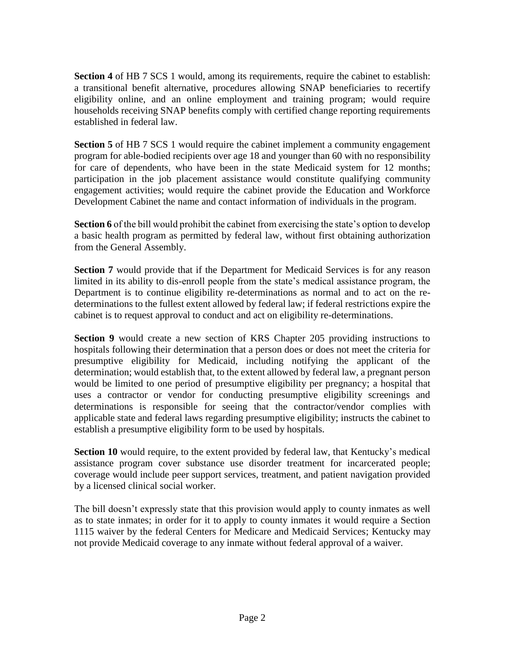**Section 4** of HB 7 SCS 1 would, among its requirements, require the cabinet to establish: a transitional benefit alternative, procedures allowing SNAP beneficiaries to recertify eligibility online, and an online employment and training program; would require households receiving SNAP benefits comply with certified change reporting requirements established in federal law.

**Section 5** of HB 7 SCS 1 would require the cabinet implement a community engagement program for able-bodied recipients over age 18 and younger than 60 with no responsibility for care of dependents, who have been in the state Medicaid system for 12 months; participation in the job placement assistance would constitute qualifying community engagement activities; would require the cabinet provide the Education and Workforce Development Cabinet the name and contact information of individuals in the program.

**Section 6** of the bill would prohibit the cabinet from exercising the state's option to develop a basic health program as permitted by federal law, without first obtaining authorization from the General Assembly.

**Section 7** would provide that if the Department for Medicaid Services is for any reason limited in its ability to dis-enroll people from the state's medical assistance program, the Department is to continue eligibility re-determinations as normal and to act on the redeterminations to the fullest extent allowed by federal law; if federal restrictions expire the cabinet is to request approval to conduct and act on eligibility re-determinations.

**Section 9** would create a new section of KRS Chapter 205 providing instructions to hospitals following their determination that a person does or does not meet the criteria for presumptive eligibility for Medicaid, including notifying the applicant of the determination; would establish that, to the extent allowed by federal law, a pregnant person would be limited to one period of presumptive eligibility per pregnancy; a hospital that uses a contractor or vendor for conducting presumptive eligibility screenings and determinations is responsible for seeing that the contractor/vendor complies with applicable state and federal laws regarding presumptive eligibility; instructs the cabinet to establish a presumptive eligibility form to be used by hospitals.

**Section 10** would require, to the extent provided by federal law, that Kentucky's medical assistance program cover substance use disorder treatment for incarcerated people; coverage would include peer support services, treatment, and patient navigation provided by a licensed clinical social worker.

The bill doesn't expressly state that this provision would apply to county inmates as well as to state inmates; in order for it to apply to county inmates it would require a Section 1115 waiver by the federal Centers for Medicare and Medicaid Services; Kentucky may not provide Medicaid coverage to any inmate without federal approval of a waiver.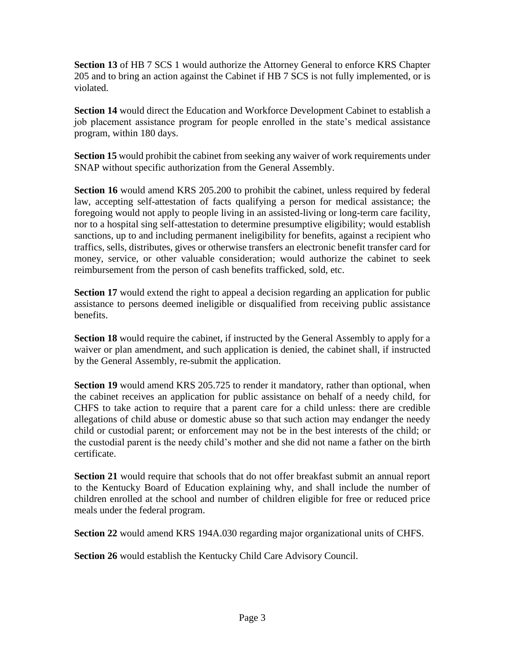**Section 13** of HB 7 SCS 1 would authorize the Attorney General to enforce KRS Chapter 205 and to bring an action against the Cabinet if HB 7 SCS is not fully implemented, or is violated.

**Section 14** would direct the Education and Workforce Development Cabinet to establish a job placement assistance program for people enrolled in the state's medical assistance program, within 180 days.

**Section 15** would prohibit the cabinet from seeking any waiver of work requirements under SNAP without specific authorization from the General Assembly.

**Section 16** would amend KRS 205.200 to prohibit the cabinet, unless required by federal law, accepting self-attestation of facts qualifying a person for medical assistance; the foregoing would not apply to people living in an assisted-living or long-term care facility, nor to a hospital sing self-attestation to determine presumptive eligibility; would establish sanctions, up to and including permanent ineligibility for benefits, against a recipient who traffics, sells, distributes, gives or otherwise transfers an electronic benefit transfer card for money, service, or other valuable consideration; would authorize the cabinet to seek reimbursement from the person of cash benefits trafficked, sold, etc.

**Section 17** would extend the right to appeal a decision regarding an application for public assistance to persons deemed ineligible or disqualified from receiving public assistance benefits.

**Section 18** would require the cabinet, if instructed by the General Assembly to apply for a waiver or plan amendment, and such application is denied, the cabinet shall, if instructed by the General Assembly, re-submit the application.

**Section 19** would amend KRS 205.725 to render it mandatory, rather than optional, when the cabinet receives an application for public assistance on behalf of a needy child, for CHFS to take action to require that a parent care for a child unless: there are credible allegations of child abuse or domestic abuse so that such action may endanger the needy child or custodial parent; or enforcement may not be in the best interests of the child; or the custodial parent is the needy child's mother and she did not name a father on the birth certificate.

**Section 21** would require that schools that do not offer breakfast submit an annual report to the Kentucky Board of Education explaining why, and shall include the number of children enrolled at the school and number of children eligible for free or reduced price meals under the federal program.

**Section 22** would amend KRS 194A.030 regarding major organizational units of CHFS.

**Section 26** would establish the Kentucky Child Care Advisory Council.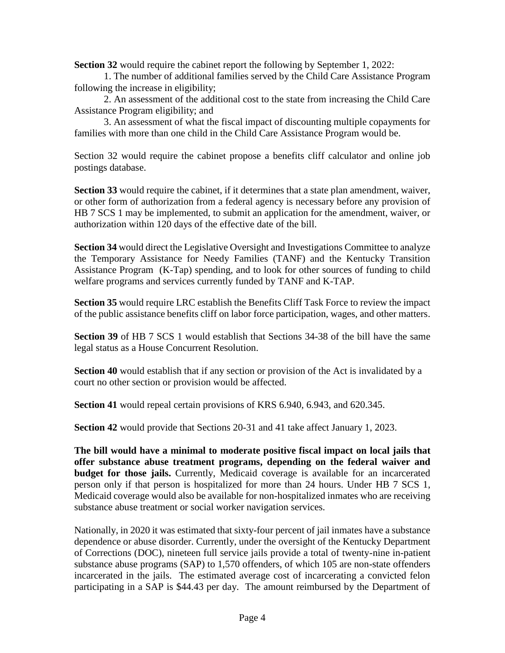**Section 32** would require the cabinet report the following by September 1, 2022:

1. The number of additional families served by the Child Care Assistance Program following the increase in eligibility;

2. An assessment of the additional cost to the state from increasing the Child Care Assistance Program eligibility; and

3. An assessment of what the fiscal impact of discounting multiple copayments for families with more than one child in the Child Care Assistance Program would be.

Section 32 would require the cabinet propose a benefits cliff calculator and online job postings database.

**Section 33** would require the cabinet, if it determines that a state plan amendment, waiver, or other form of authorization from a federal agency is necessary before any provision of HB 7 SCS 1 may be implemented, to submit an application for the amendment, waiver, or authorization within 120 days of the effective date of the bill.

**Section 34** would direct the Legislative Oversight and Investigations Committee to analyze the Temporary Assistance for Needy Families (TANF) and the Kentucky Transition Assistance Program (K-Tap) spending, and to look for other sources of funding to child welfare programs and services currently funded by TANF and K-TAP.

**Section 35** would require LRC establish the Benefits Cliff Task Force to review the impact of the public assistance benefits cliff on labor force participation, wages, and other matters.

**Section 39** of HB 7 SCS 1 would establish that Sections 34-38 of the bill have the same legal status as a House Concurrent Resolution.

**Section 40** would establish that if any section or provision of the Act is invalidated by a court no other section or provision would be affected.

**Section 41** would repeal certain provisions of KRS 6.940, 6.943, and 620.345.

**Section 42** would provide that Sections 20-31 and 41 take affect January 1, 2023.

**The bill would have a minimal to moderate positive fiscal impact on local jails that offer substance abuse treatment programs, depending on the federal waiver and budget for those jails.** Currently, Medicaid coverage is available for an incarcerated person only if that person is hospitalized for more than 24 hours. Under HB 7 SCS 1, Medicaid coverage would also be available for non-hospitalized inmates who are receiving substance abuse treatment or social worker navigation services.

Nationally, in 2020 it was estimated that sixty-four percent of jail inmates have a substance dependence or abuse disorder. Currently, under the oversight of the Kentucky Department of Corrections (DOC), nineteen full service jails provide a total of twenty-nine in-patient substance abuse programs (SAP) to 1,570 offenders, of which 105 are non-state offenders incarcerated in the jails. The estimated average cost of incarcerating a convicted felon participating in a SAP is \$44.43 per day. The amount reimbursed by the Department of